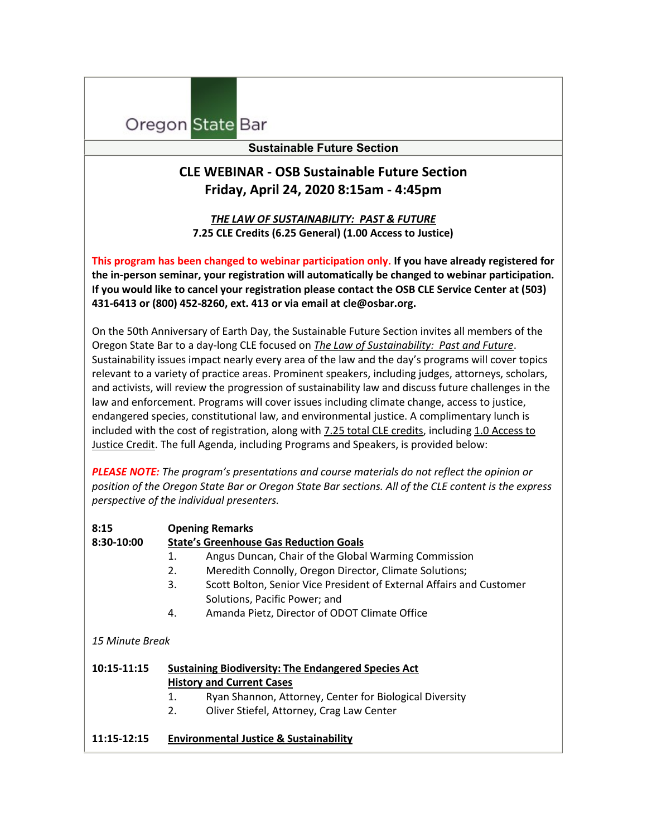## Oregon State Bar

## **Sustainable Future Section**

## **CLE WEBINAR - OSB Sustainable Future Section Friday, April 24, 2020 8:15am - 4:45pm**

*THE LAW OF SUSTAINABILITY: PAST & FUTURE* **7.25 CLE Credits (6.25 General) (1.00 Access to Justice)**

**This program has been changed to webinar participation only. If you have already registered for the in-person seminar, your registration will automatically be changed to webinar participation. If you would like to cancel your registration please contact the OSB CLE Service Center at (503) 431-6413 or (800) 452-8260, ext. 413 or via email a[t cle@osbar.org.](mailto:cle@osbar.org)** 

On the 50th Anniversary of Earth Day, the Sustainable Future Section invites all members of the Oregon State Bar to a day-long CLE focused on *The Law of Sustainability: Past and Future*. Sustainability issues impact nearly every area of the law and the day's programs will cover topics relevant to a variety of practice areas. Prominent speakers, including judges, attorneys, scholars, and activists, will review the progression of sustainability law and discuss future challenges in the law and enforcement. Programs will cover issues including climate change, access to justice, endangered species, constitutional law, and environmental justice. A complimentary lunch is included with the cost of registration, along with 7.25 total CLE credits, including 1.0 Access to Justice Credit. The full Agenda, including Programs and Speakers, is provided below:

*PLEASE NOTE: The program's presentations and course materials do not reflect the opinion or position of the Oregon State Bar or Oregon State Bar sections. All of the CLE content is the express perspective of the individual presenters.*

| 8:15            | <b>Opening Remarks</b>                                                                         |                                                                      |  |
|-----------------|------------------------------------------------------------------------------------------------|----------------------------------------------------------------------|--|
| 8:30-10:00      | <b>State's Greenhouse Gas Reduction Goals</b>                                                  |                                                                      |  |
|                 | 1.                                                                                             | Angus Duncan, Chair of the Global Warming Commission                 |  |
|                 | 2.                                                                                             | Meredith Connolly, Oregon Director, Climate Solutions;               |  |
|                 | 3.                                                                                             | Scott Bolton, Senior Vice President of External Affairs and Customer |  |
|                 |                                                                                                | Solutions, Pacific Power; and                                        |  |
|                 | 4.                                                                                             | Amanda Pietz, Director of ODOT Climate Office                        |  |
|                 |                                                                                                |                                                                      |  |
| 15 Minute Break |                                                                                                |                                                                      |  |
|                 |                                                                                                |                                                                      |  |
| $10:15-11:15$   | <b>Sustaining Biodiversity: The Endangered Species Act</b><br><b>History and Current Cases</b> |                                                                      |  |
|                 |                                                                                                |                                                                      |  |
|                 | 1.                                                                                             | Ryan Shannon, Attorney, Center for Biological Diversity              |  |
|                 | 2.                                                                                             | Oliver Stiefel, Attorney, Crag Law Center                            |  |
|                 |                                                                                                |                                                                      |  |
| $11:15-12:15$   |                                                                                                | <b>Environmental Justice &amp; Sustainability</b>                    |  |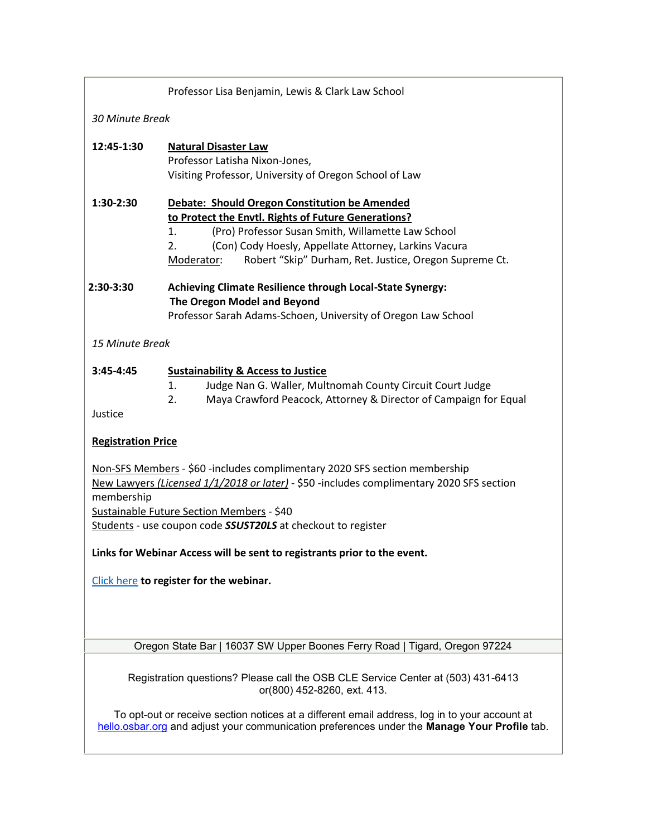|                                                                                                                                                                                                                                                                                                          | Professor Lisa Benjamin, Lewis & Clark Law School                                                                                                                                                                                                                                                       |  |  |
|----------------------------------------------------------------------------------------------------------------------------------------------------------------------------------------------------------------------------------------------------------------------------------------------------------|---------------------------------------------------------------------------------------------------------------------------------------------------------------------------------------------------------------------------------------------------------------------------------------------------------|--|--|
| 30 Minute Break                                                                                                                                                                                                                                                                                          |                                                                                                                                                                                                                                                                                                         |  |  |
| 12:45-1:30                                                                                                                                                                                                                                                                                               | <b>Natural Disaster Law</b><br>Professor Latisha Nixon-Jones,<br>Visiting Professor, University of Oregon School of Law                                                                                                                                                                                 |  |  |
| 1:30-2:30                                                                                                                                                                                                                                                                                                | Debate: Should Oregon Constitution be Amended<br>to Protect the Envtl. Rights of Future Generations?<br>(Pro) Professor Susan Smith, Willamette Law School<br>1.<br>(Con) Cody Hoesly, Appellate Attorney, Larkins Vacura<br>2.<br>Robert "Skip" Durham, Ret. Justice, Oregon Supreme Ct.<br>Moderator: |  |  |
| 2:30-3:30                                                                                                                                                                                                                                                                                                | <b>Achieving Climate Resilience through Local-State Synergy:</b><br>The Oregon Model and Beyond<br>Professor Sarah Adams-Schoen, University of Oregon Law School                                                                                                                                        |  |  |
| 15 Minute Break                                                                                                                                                                                                                                                                                          |                                                                                                                                                                                                                                                                                                         |  |  |
| $3:45 - 4:45$<br>Justice                                                                                                                                                                                                                                                                                 | <b>Sustainability &amp; Access to Justice</b><br>Judge Nan G. Waller, Multnomah County Circuit Court Judge<br>1.<br>2.<br>Maya Crawford Peacock, Attorney & Director of Campaign for Equal                                                                                                              |  |  |
| <b>Registration Price</b>                                                                                                                                                                                                                                                                                |                                                                                                                                                                                                                                                                                                         |  |  |
| Non-SFS Members - \$60 -includes complimentary 2020 SFS section membership<br>New Lawyers (Licensed 1/1/2018 or later) - \$50 -includes complimentary 2020 SFS section<br>membership<br>Sustainable Future Section Members - \$40<br>Students - use coupon code <b>SSUST20LS</b> at checkout to register |                                                                                                                                                                                                                                                                                                         |  |  |
| Links for Webinar Access will be sent to registrants prior to the event.                                                                                                                                                                                                                                 |                                                                                                                                                                                                                                                                                                         |  |  |
| Click here to register for the webinar.                                                                                                                                                                                                                                                                  |                                                                                                                                                                                                                                                                                                         |  |  |
| Oregon State Bar   16037 SW Upper Boones Ferry Road   Tigard, Oregon 97224                                                                                                                                                                                                                               |                                                                                                                                                                                                                                                                                                         |  |  |
| Registration questions? Please call the OSB CLE Service Center at (503) 431-6413<br>or(800) 452-8260, ext. 413.                                                                                                                                                                                          |                                                                                                                                                                                                                                                                                                         |  |  |
| To opt-out or receive section notices at a different email address, log in to your account at<br>hello.osbar.org and adjust your communication preferences under the Manage Your Profile tab.                                                                                                            |                                                                                                                                                                                                                                                                                                         |  |  |